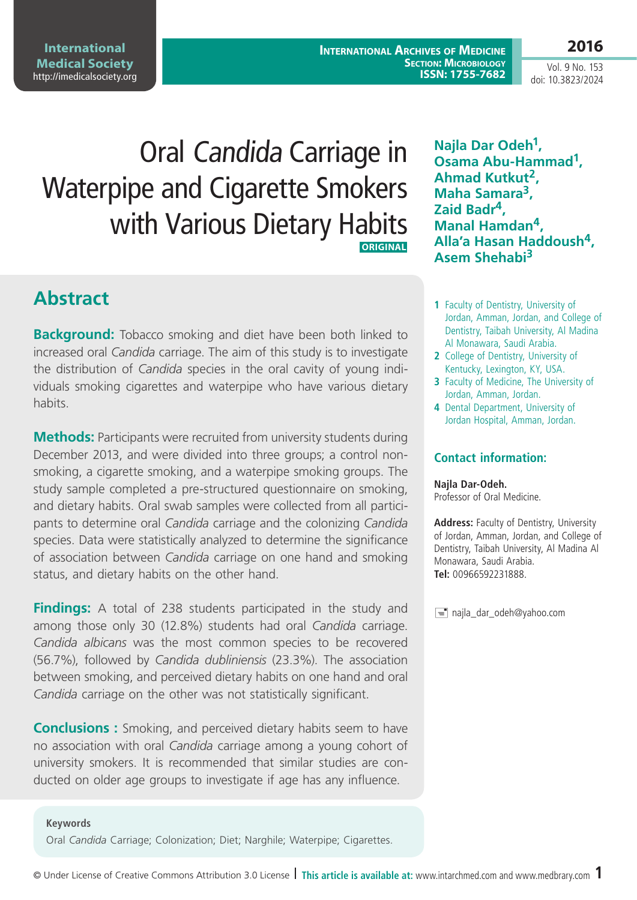Oral Candida Carriage in Waterpipe and Cigarette Smokers **Osama Abu-Hammad1, Ahmad Kutkut2,**

 **ORIGINAL**

**Maha Samara3, Zaid Badr4, Manal Hamdan4, Alla'a Hasan Haddoush4, Asem Shehabi3**

**Najla Dar Odeh1,** 

- **1** Faculty of Dentistry, University of Jordan, Amman, Jordan, and College of Dentistry, Taibah University, Al Madina Al Monawara, Saudi Arabia.
- **2** College of Dentistry, University of Kentucky, Lexington, KY, USA.
- **3** Faculty of Medicine, The University of Jordan, Amman, Jordan.
- **4** Dental Department, University of Jordan Hospital, Amman, Jordan.

## **Contact information:**

#### **Najla Dar-Odeh.**

Professor of Oral Medicine.

**Address:** Faculty of Dentistry, University of Jordan, Amman, Jordan, and College of Dentistry, Taibah University, Al Madina Al Monawara, Saudi Arabia. **Tel:** 00966592231888.

najla\_dar\_odeh@yahoo.com

**International Archives of Medicine ISSN: 1755-7682**

status, and dietary habits on the other hand.

Oral *Candida* Carriage; Colonization; Diet; Narghile; Waterpipe; Cigarettes.

**Conclusions :** Smoking, and perceived dietary habits seem to have no association with oral *Candida* carriage among a young cohort of university smokers. It is recommended that similar studies are con-

**Background:** Tobacco smoking and diet have been both linked to increased oral *Candida* carriage. The aim of this study is to investigate the distribution of *Candida* species in the oral cavity of young individuals smoking cigarettes and waterpipe who have various dietary

with Various Dietary Habits

**Methods:** Participants were recruited from university students during December 2013, and were divided into three groups; a control nonsmoking, a cigarette smoking, and a waterpipe smoking groups. The study sample completed a pre-structured questionnaire on smoking, and dietary habits. Oral swab samples were collected from all participants to determine oral *Candida* carriage and the colonizing *Candida*  species. Data were statistically analyzed to determine the significance of association between *Candida* carriage on one hand and smoking

**Findings:** A total of 238 students participated in the study and among those only 30 (12.8%) students had oral *Candida* carriage. *Candida albicans* was the most common species to be recovered

*Candida* carriage on the other was not statistically significant.

## **Keywords**

(56.7%), followed by *Candida dubliniensis* (23.3%). The association between smoking, and perceived dietary habits on one hand and oral

**2016**

Vol. 9 No. 153 doi: 10.3823/2024

#### **International Medical Society**  <http://imedicalsociety.org>

**Abstract**

habits.

ducted on older age groups to investigate if age has any influence.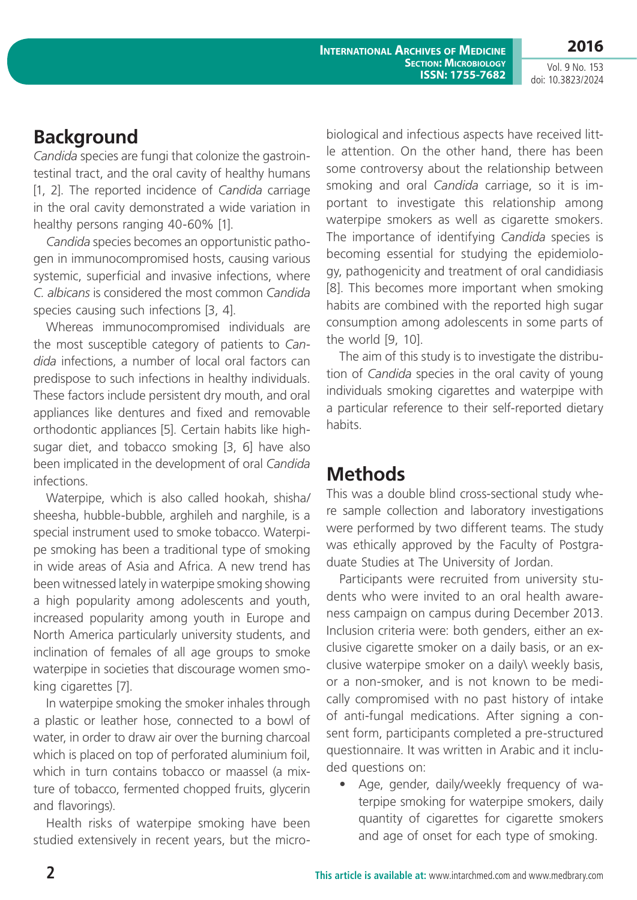**International Archives of Medicine SECTION: MICROBIOLOGY ISSN: 1755-7682**

**2016** Vol. 9 No. 153

doi: 10.3823/2024

# **Background**

*Candida* species are fungi that colonize the gastrointestinal tract, and the oral cavity of healthy humans [1, 2]. The reported incidence of *Candida* carriage in the oral cavity demonstrated a wide variation in healthy persons ranging 40-60% [1].

*Candida* species becomes an opportunistic pathogen in immunocompromised hosts, causing various systemic, superficial and invasive infections, where *C. albicans* is considered the most common *Candida*  species causing such infections [3, 4].

Whereas immunocompromised individuals are the most susceptible category of patients to *Candida* infections, a number of local oral factors can predispose to such infections in healthy individuals. These factors include persistent dry mouth, and oral appliances like dentures and fixed and removable orthodontic appliances [5]. Certain habits like highsugar diet, and tobacco smoking [3, 6] have also been implicated in the development of oral *Candida*  infections.

Waterpipe, which is also called hookah, shisha/ sheesha, hubble-bubble, arghileh and narghile, is a special instrument used to smoke tobacco. Waterpipe smoking has been a traditional type of smoking in wide areas of Asia and Africa. A new trend has been witnessed lately in waterpipe smoking showing a high popularity among adolescents and youth, increased popularity among youth in Europe and North America particularly university students, and inclination of females of all age groups to smoke waterpipe in societies that discourage women smoking cigarettes [7].

In waterpipe smoking the smoker inhales through a plastic or leather hose, connected to a bowl of water, in order to draw air over the burning charcoal which is placed on top of perforated aluminium foil. which in turn contains tobacco or maassel (a mixture of tobacco, fermented chopped fruits, glycerin and flavorings).

Health risks of waterpipe smoking have been studied extensively in recent years, but the micro-

biological and infectious aspects have received little attention. On the other hand, there has been some controversy about the relationship between smoking and oral *Candida* carriage, so it is important to investigate this relationship among waterpipe smokers as well as cigarette smokers. The importance of identifying *Candida* species is becoming essential for studying the epidemiology, pathogenicity and treatment of oral candidiasis [8]. This becomes more important when smoking habits are combined with the reported high sugar consumption among adolescents in some parts of the world [9, 10].

The aim of this study is to investigate the distribution of *Candida* species in the oral cavity of young individuals smoking cigarettes and waterpipe with a particular reference to their self-reported dietary habits.

# **Methods**

This was a double blind cross-sectional study where sample collection and laboratory investigations were performed by two different teams. The study was ethically approved by the Faculty of Postgraduate Studies at The University of Jordan.

Participants were recruited from university students who were invited to an oral health awareness campaign on campus during December 2013. Inclusion criteria were: both genders, either an exclusive cigarette smoker on a daily basis, or an exclusive waterpipe smoker on a daily\ weekly basis, or a non-smoker, and is not known to be medically compromised with no past history of intake of anti-fungal medications. After signing a consent form, participants completed a pre-structured questionnaire. It was written in Arabic and it included questions on:

• Age, gender, daily/weekly frequency of waterpipe smoking for waterpipe smokers, daily quantity of cigarettes for cigarette smokers and age of onset for each type of smoking.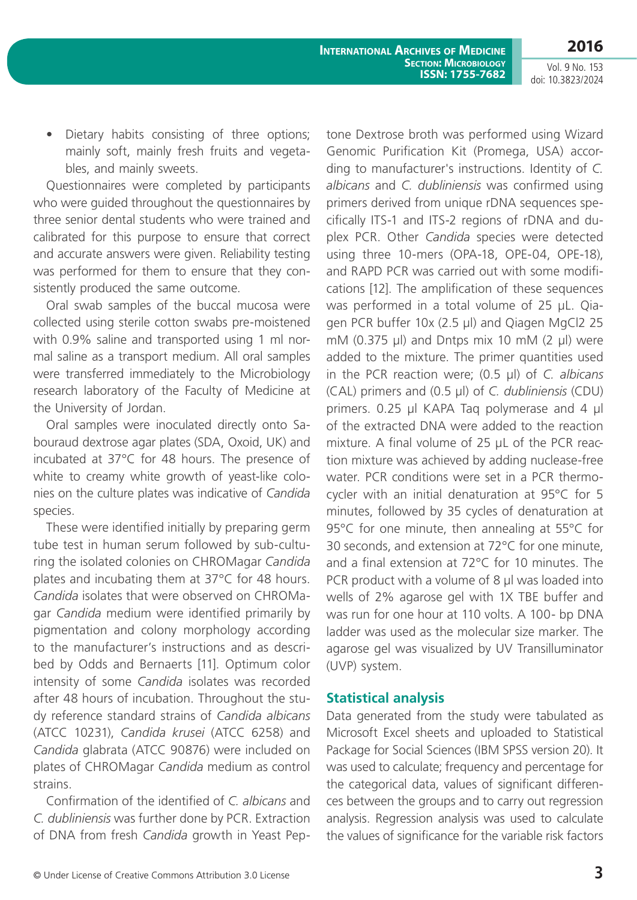**2016**

Vol. 9 No. 153 doi: 10.3823/2024

• Dietary habits consisting of three options; mainly soft, mainly fresh fruits and vegetables, and mainly sweets.

Questionnaires were completed by participants who were guided throughout the questionnaires by three senior dental students who were trained and calibrated for this purpose to ensure that correct and accurate answers were given. Reliability testing was performed for them to ensure that they consistently produced the same outcome.

Oral swab samples of the buccal mucosa were collected using sterile cotton swabs pre-moistened with 0.9% saline and transported using 1 ml normal saline as a transport medium. All oral samples were transferred immediately to the Microbiology research laboratory of the Faculty of Medicine at the University of Jordan.

Oral samples were inoculated directly onto Sabouraud dextrose agar plates (SDA, Oxoid, UK) and incubated at 37°C for 48 hours. The presence of white to creamy white growth of yeast-like colonies on the culture plates was indicative of *Candida*  species.

These were identified initially by preparing germ tube test in human serum followed by sub-culturing the isolated colonies on CHROMagar *Candida*  plates and incubating them at 37°C for 48 hours. *Candida* isolates that were observed on CHROMagar *Candida* medium were identified primarily by pigmentation and colony morphology according to the manufacturer's instructions and as described by Odds and Bernaerts [11]. Optimum color intensity of some *Candida* isolates was recorded after 48 hours of incubation. Throughout the study reference standard strains of *Candida albicans*  (ATCC 10231), *Candida krusei* (ATCC 6258) and *Candida* glabrata (ATCC 90876) were included on plates of CHROMagar *Candida* medium as control strains.

Confirmation of the identified of *C. albicans* and *C. dubliniensis* was further done by PCR. Extraction of DNA from fresh *Candida* growth in Yeast Pep-

tone Dextrose broth was performed using Wizard Genomic Purification Kit (Promega, USA) according to manufacturer's instructions. Identity of *C. albicans* and *C. dubliniensis* was confirmed using primers derived from unique rDNA sequences specifically ITS-1 and ITS-2 regions of rDNA and duplex PCR. Other *Candida* species were detected using three 10-mers (OPA-18, OPE-04, OPE-18), and RAPD PCR was carried out with some modifications [12]. The amplification of these sequences was performed in a total volume of 25 µL. Qiagen PCR buffer 10x (2.5 µl) and Qiagen MgCl2 25 mM (0.375  $\mu$ l) and Dntps mix 10 mM (2  $\mu$ l) were added to the mixture. The primer quantities used in the PCR reaction were; (0.5 µl) of *C. albicans*  (CAL) primers and (0.5 µl) of *C. dubliniensis* (CDU) primers. 0.25 µl KAPA Taq polymerase and 4 µl of the extracted DNA were added to the reaction mixture. A final volume of 25 µL of the PCR reaction mixture was achieved by adding nuclease-free water. PCR conditions were set in a PCR thermocycler with an initial denaturation at 95°C for 5 minutes, followed by 35 cycles of denaturation at 95°C for one minute, then annealing at 55°C for 30 seconds, and extension at 72°C for one minute, and a final extension at 72°C for 10 minutes. The PCR product with a volume of 8 µl was loaded into wells of 2% agarose gel with 1X TBE buffer and was run for one hour at 110 volts. A 100- bp DNA ladder was used as the molecular size marker. The agarose gel was visualized by UV Transilluminator (UVP) system.

#### **Statistical analysis**

Data generated from the study were tabulated as Microsoft Excel sheets and uploaded to Statistical Package for Social Sciences (IBM SPSS version 20). It was used to calculate; frequency and percentage for the categorical data, values of significant differences between the groups and to carry out regression analysis. Regression analysis was used to calculate the values of significance for the variable risk factors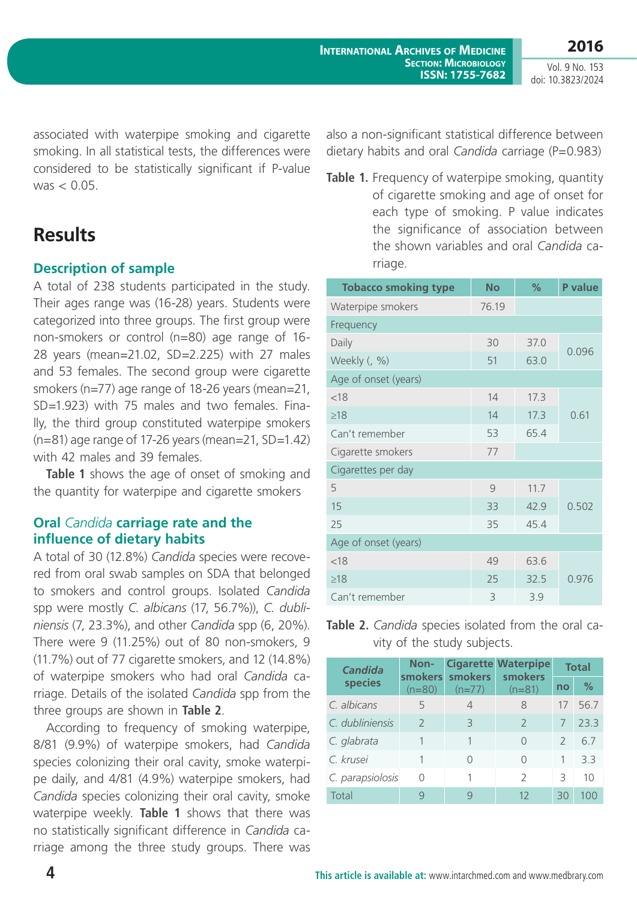Vol. 9 No. 153 doi: 10.3823/2024

associated with waterpipe smoking and cigarette smoking. In all statistical tests, the differences were considered to be statistically significant if P-value  $was < 0.05$ 

# **Results**

## **Description of sample**

A total of 238 students participated in the study. Their ages range was (16-28) years. Students were categorized into three groups. The first group were non-smokers or control (n=80) age range of 16- 28 years (mean=21.02, SD=2.225) with 27 males and 53 females. The second group were cigarette smokers (n=77) age range of 18-26 years (mean=21, SD=1.923) with 75 males and two females. Finally, the third group constituted waterpipe smokers  $(n=81)$  age range of 17-26 years (mean=21, SD=1.42) with 42 males and 39 females.

**Table 1** shows the age of onset of smoking and the quantity for waterpipe and cigarette smokers

## **Oral** *Candida* **carriage rate and the influence of dietary habits**

A total of 30 (12.8%) *Candida* species were recovered from oral swab samples on SDA that belonged to smokers and control groups. Isolated *Candida*  spp were mostly *C. albicans* (17, 56.7%)), *C. dubliniensis* (7, 23.3%), and other *Candida* spp (6, 20%). There were 9 (11.25%) out of 80 non-smokers, 9 (11.7%) out of 77 cigarette smokers, and 12 (14.8%) of waterpipe smokers who had oral *Candida* carriage. Details of the isolated *Candida* spp from the three groups are shown in **Table 2**.

According to frequency of smoking waterpipe, 8/81 (9.9%) of waterpipe smokers, had *Candida*  species colonizing their oral cavity, smoke waterpipe daily, and 4/81 (4.9%) waterpipe smokers, had *Candida* species colonizing their oral cavity, smoke waterpipe weekly. **Table 1** shows that there was no statistically significant difference in *Candida* carriage among the three study groups. There was also a non-significant statistical difference between dietary habits and oral *Candida* carriage (P=0.983)

Table 1. Frequency of waterpipe smoking, quantity of cigarette smoking and age of onset for each type of smoking. P value indicates the significance of association between the shown variables and oral *Candida* carriage.

| <b>Tobacco smoking type</b> | <b>No</b> | %    | P value |  |  |  |  |
|-----------------------------|-----------|------|---------|--|--|--|--|
| Waterpipe smokers           | 76.19     |      |         |  |  |  |  |
| Frequency                   |           |      |         |  |  |  |  |
| Daily                       | 30        | 37.0 | 0.096   |  |  |  |  |
| Weekly (, %)                | 51        | 63.0 |         |  |  |  |  |
| Age of onset (years)        |           |      |         |  |  |  |  |
| < 18                        | 14        | 17.3 | 0.61    |  |  |  |  |
| $\geq$ 18                   | 14        | 17.3 |         |  |  |  |  |
| Can't remember              | 53        | 65.4 |         |  |  |  |  |
| Cigarette smokers           | 77        |      |         |  |  |  |  |
| Cigarettes per day          |           |      |         |  |  |  |  |
| 5                           | 9         | 11.7 | 0.502   |  |  |  |  |
| 15                          | 33        | 42.9 |         |  |  |  |  |
| 25                          | 35        | 45.4 |         |  |  |  |  |
| Age of onset (years)        |           |      |         |  |  |  |  |
| < 18                        | 49        | 63.6 | 0.976   |  |  |  |  |
| $\geq$ 18                   | 25        | 32.5 |         |  |  |  |  |
| Can't remember              | 3         | 3.9  |         |  |  |  |  |

**Table 2.** *Candida* species isolated from the oral cavity of the study subjects.

| <b>Candida</b><br>species | Non-<br>$(n=80)$ | smokers smokers<br>$(n=77)$ | <b>Cigarette Waterpipe</b><br>smokers<br>$(n=81)$ | <b>Total</b>  |               |
|---------------------------|------------------|-----------------------------|---------------------------------------------------|---------------|---------------|
|                           |                  |                             |                                                   | no            | $\frac{0}{2}$ |
| C. albicans               | 5                | 4                           | 8                                                 |               | 56.7          |
| C. dubliniensis           | $\mathcal{P}$    | Β                           | $\mathcal{L}$                                     |               | 23.3          |
| C. glabrata               |                  |                             | Λ                                                 | $\mathcal{P}$ | 6.7           |
| C. krusei                 |                  | ∩                           | Ω                                                 | 1             | 33            |
| C. parapsiolosis          | $\Omega$         |                             | $\mathcal{D}$                                     | 3             | 10            |
| Total                     | q                | Q                           | 12                                                | 30            | 100           |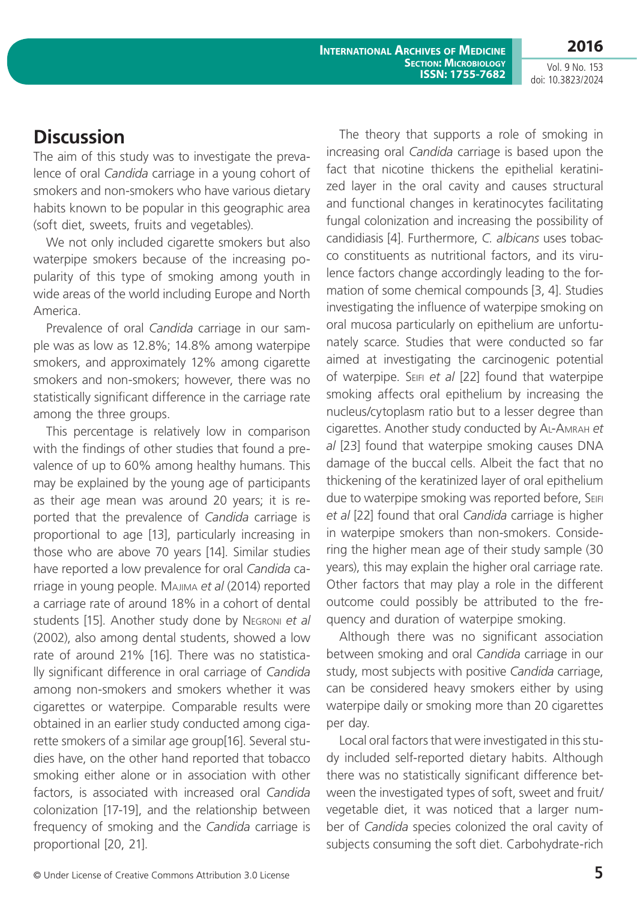**International Archives of Medicine Section: Microbiology ISSN: 1755-7682** **2016**

Vol. 9 No. 153 doi: 10.3823/2024

# **Discussion**

The aim of this study was to investigate the prevalence of oral *Candida* carriage in a young cohort of smokers and non-smokers who have various dietary habits known to be popular in this geographic area (soft diet, sweets, fruits and vegetables).

We not only included cigarette smokers but also waterpipe smokers because of the increasing popularity of this type of smoking among youth in wide areas of the world including Europe and North America.

Prevalence of oral *Candida* carriage in our sample was as low as 12.8%; 14.8% among waterpipe smokers, and approximately 12% among cigarette smokers and non-smokers; however, there was no statistically significant difference in the carriage rate among the three groups.

This percentage is relatively low in comparison with the findings of other studies that found a prevalence of up to 60% among healthy humans. This may be explained by the young age of participants as their age mean was around 20 years; it is reported that the prevalence of *Candida* carriage is proportional to age [13], particularly increasing in those who are above 70 years [14]. Similar studies have reported a low prevalence for oral *Candida* carriage in young people. Majima *et al* (2014) reported a carriage rate of around 18% in a cohort of dental students [15]. Another study done by Negroni *et al*  (2002), also among dental students, showed a low rate of around 21% [16]. There was no statistically significant difference in oral carriage of *Candida*  among non-smokers and smokers whether it was cigarettes or waterpipe. Comparable results were obtained in an earlier study conducted among cigarette smokers of a similar age group[16]. Several studies have, on the other hand reported that tobacco smoking either alone or in association with other factors, is associated with increased oral *Candida*  colonization [17-19], and the relationship between frequency of smoking and the *Candida* carriage is proportional [20, 21].

The theory that supports a role of smoking in increasing oral *Candida* carriage is based upon the fact that nicotine thickens the epithelial keratinized layer in the oral cavity and causes structural and functional changes in keratinocytes facilitating fungal colonization and increasing the possibility of candidiasis [4]. Furthermore, *C. albicans* uses tobacco constituents as nutritional factors, and its virulence factors change accordingly leading to the formation of some chemical compounds [3, 4]. Studies investigating the influence of waterpipe smoking on oral mucosa particularly on epithelium are unfortunately scarce. Studies that were conducted so far aimed at investigating the carcinogenic potential of waterpipe. Seifi *et al* [22] found that waterpipe smoking affects oral epithelium by increasing the nucleus/cytoplasm ratio but to a lesser degree than cigarettes. Another study conducted by Al-Amrah *et al* [23] found that waterpipe smoking causes DNA damage of the buccal cells. Albeit the fact that no thickening of the keratinized layer of oral epithelium due to waterpipe smoking was reported before, Seifi *et al* [22] found that oral *Candida* carriage is higher in waterpipe smokers than non-smokers. Considering the higher mean age of their study sample (30 years), this may explain the higher oral carriage rate. Other factors that may play a role in the different outcome could possibly be attributed to the frequency and duration of waterpipe smoking.

Although there was no significant association between smoking and oral *Candida* carriage in our study, most subjects with positive *Candida* carriage, can be considered heavy smokers either by using waterpipe daily or smoking more than 20 cigarettes per day.

Local oral factors that were investigated in this study included self-reported dietary habits. Although there was no statistically significant difference between the investigated types of soft, sweet and fruit/ vegetable diet, it was noticed that a larger number of *Candida* species colonized the oral cavity of subjects consuming the soft diet. Carbohydrate-rich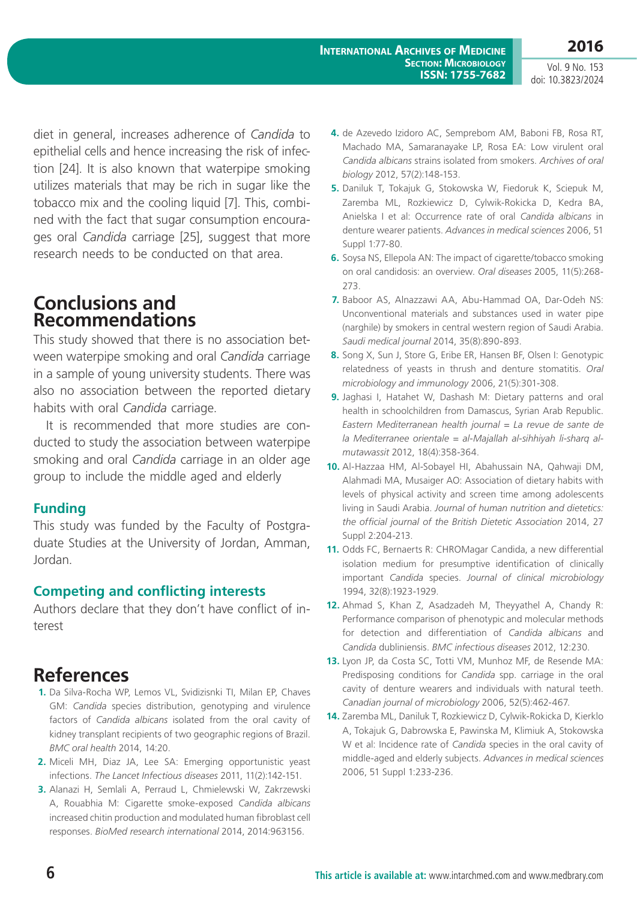Vol. 9 No. 153 doi: 10.3823/2024

diet in general, increases adherence of *Candida* to epithelial cells and hence increasing the risk of infection [24]. It is also known that waterpipe smoking utilizes materials that may be rich in sugar like the tobacco mix and the cooling liquid [7]. This, combined with the fact that sugar consumption encourages oral *Candida* carriage [25], suggest that more research needs to be conducted on that area.

## **Conclusions and Recommendations**

This study showed that there is no association between waterpipe smoking and oral *Candida* carriage in a sample of young university students. There was also no association between the reported dietary habits with oral *Candida* carriage.

It is recommended that more studies are conducted to study the association between waterpipe smoking and oral *Candida* carriage in an older age group to include the middle aged and elderly

#### **Funding**

This study was funded by the Faculty of Postgraduate Studies at the University of Jordan, Amman, Jordan.

## **Competing and conflicting interests**

Authors declare that they don't have conflict of interest

# **References**

- **1.** Da Silva-Rocha WP, Lemos VL, Svidizisnki TI, Milan EP, Chaves GM: *Candida* species distribution, genotyping and virulence factors of *Candida albicans* isolated from the oral cavity of kidney transplant recipients of two geographic regions of Brazil. *BMC oral health* 2014, 14:20.
- **2.** Miceli MH, Diaz JA, Lee SA: Emerging opportunistic yeast infections. *The Lancet Infectious diseases* 2011, 11(2):142-151.
- **3.** Alanazi H, Semlali A, Perraud L, Chmielewski W, Zakrzewski A, Rouabhia M: Cigarette smoke-exposed *Candida albicans*  increased chitin production and modulated human fibroblast cell responses. *BioMed research international* 2014, 2014:963156.
- **4.** de Azevedo Izidoro AC, Semprebom AM, Baboni FB, Rosa RT, Machado MA, Samaranayake LP, Rosa EA: Low virulent oral *Candida albicans* strains isolated from smokers. *Archives of oral biology* 2012, 57(2):148-153.
- **5.** Daniluk T, Tokajuk G, Stokowska W, Fiedoruk K, Sciepuk M, Zaremba ML, Rozkiewicz D, Cylwik-Rokicka D, Kedra BA, Anielska I et al: Occurrence rate of oral *Candida albicans* in denture wearer patients. *Advances in medical sciences* 2006, 51 Suppl 1:77-80.
- **6.** Soysa NS, Ellepola AN: The impact of cigarette/tobacco smoking on oral candidosis: an overview. *Oral diseases* 2005, 11(5):268- 273.
- **7.** Baboor AS, Alnazzawi AA, Abu-Hammad OA, Dar-Odeh NS: Unconventional materials and substances used in water pipe (narghile) by smokers in central western region of Saudi Arabia. *Saudi medical journal* 2014, 35(8):890-893.
- **8.** Song X, Sun J, Store G, Eribe ER, Hansen BF, Olsen I: Genotypic relatedness of yeasts in thrush and denture stomatitis. *Oral microbiology and immunology* 2006, 21(5):301-308.
- **9.** Jaghasi I, Hatahet W, Dashash M: Dietary patterns and oral health in schoolchildren from Damascus, Syrian Arab Republic. *Eastern Mediterranean health journal = La revue de sante de la Mediterranee orientale = al-Majallah al-sihhiyah li-sharq almutawassit* 2012, 18(4):358-364.
- **10.** Al-Hazzaa HM, Al-Sobayel HI, Abahussain NA, Qahwaji DM, Alahmadi MA, Musaiger AO: Association of dietary habits with levels of physical activity and screen time among adolescents living in Saudi Arabia. *Journal of human nutrition and dietetics: the official journal of the British Dietetic Association* 2014, 27 Suppl 2:204-213.
- **11.** Odds FC, Bernaerts R: CHROMagar Candida, a new differential isolation medium for presumptive identification of clinically important *Candida* species. *Journal of clinical microbiology* 1994, 32(8):1923-1929.
- **12.** Ahmad S, Khan Z, Asadzadeh M, Theyyathel A, Chandy R: Performance comparison of phenotypic and molecular methods for detection and differentiation of *Candida albicans* and *Candida* dubliniensis. *BMC infectious diseases* 2012, 12:230.
- **13.** Lyon JP, da Costa SC, Totti VM, Munhoz MF, de Resende MA: Predisposing conditions for *Candida* spp. carriage in the oral cavity of denture wearers and individuals with natural teeth. *Canadian journal of microbiology* 2006, 52(5):462-467.
- **14.** Zaremba ML, Daniluk T, Rozkiewicz D, Cylwik-Rokicka D, Kierklo A, Tokajuk G, Dabrowska E, Pawinska M, Klimiuk A, Stokowska W et al: Incidence rate of *Candida* species in the oral cavity of middle-aged and elderly subjects. *Advances in medical sciences* 2006, 51 Suppl 1:233-236.